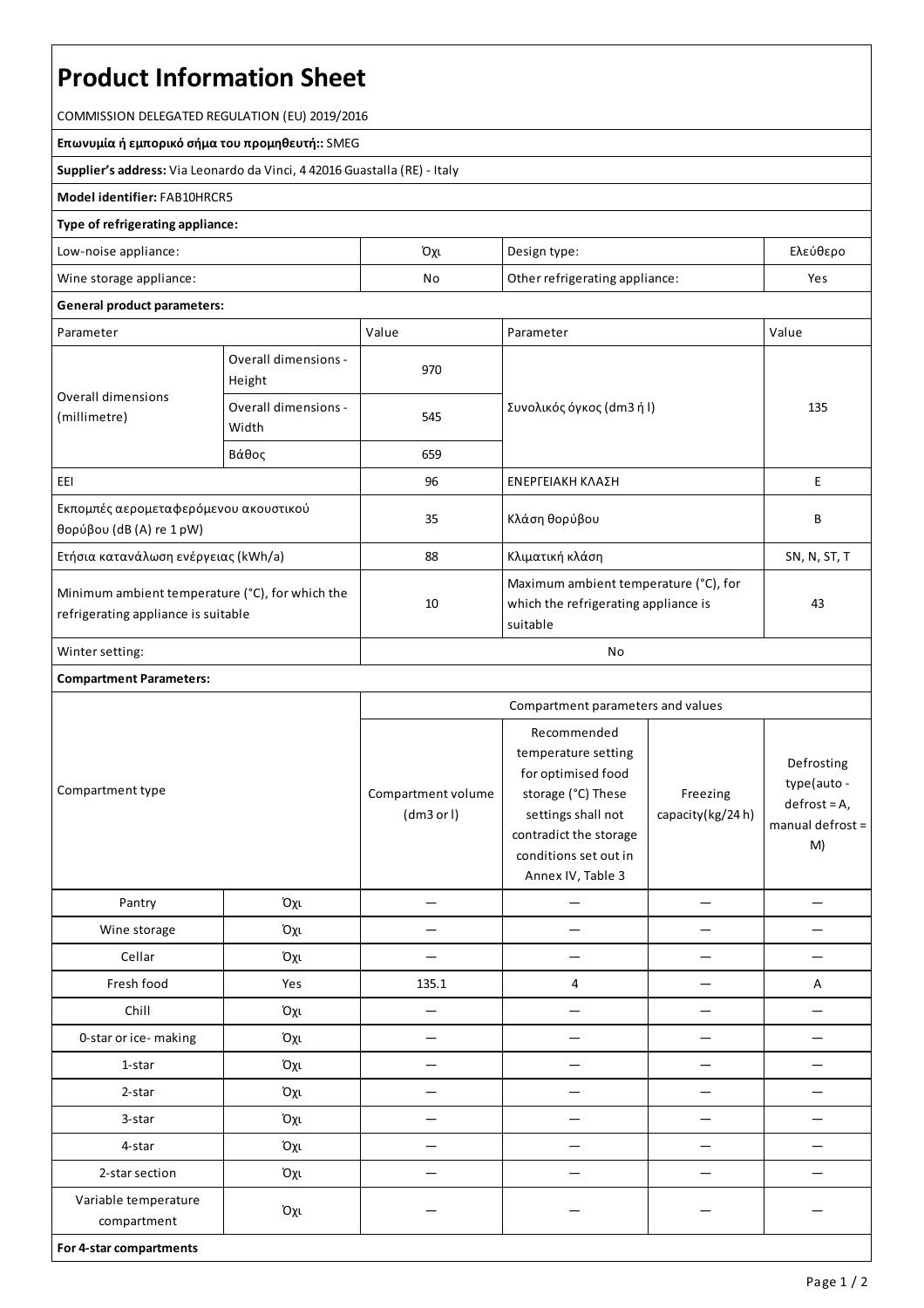# **Product Information Sheet**

COMMISSION DELEGATED REGULATION (EU) 2019/2016

**Επωνυμία ή εμπορικό σήμα του προμηθευτή::**SMEG

**Supplier's address:** ViaLeonardo da Vinci, 4 42016 Guastalla(RE) - Italy

## **Model identifier:**FAB10HRCR5

### **Type of refrigerating appliance:**

| Low-noise appliance:    | Όχι                                  | Design type: | Ελεύθερο |
|-------------------------|--------------------------------------|--------------|----------|
| Wine storage appliance: | Other refrigerating appliance:<br>No |              | Yes      |

#### **General product parameters:**

| Parameter                                                                                 |                                | Value | Parameter                                                                                 | Value        |  |
|-------------------------------------------------------------------------------------------|--------------------------------|-------|-------------------------------------------------------------------------------------------|--------------|--|
| Overall dimensions<br>(millimetre)                                                        | Overall dimensions -<br>Height | 970   |                                                                                           | 135          |  |
|                                                                                           | Overall dimensions -<br>Width  | 545   | Συνολικός όγκος (dm3 ή l)                                                                 |              |  |
|                                                                                           | Βάθος                          | 659   |                                                                                           |              |  |
| EEI                                                                                       |                                | 96    | ΕΝΕΡΓΕΙΑΚΗ ΚΛΑΣΗ                                                                          | E.           |  |
| Εκπομπές αερομεταφερόμενου ακουστικού<br>θορύβου (dB(A) re $1$ pW)                        |                                | 35    | Κλάση θορύβου                                                                             | B            |  |
| Ετήσια κατανάλωση ενέργειας (kWh/a)                                                       |                                | 88    | Κλιματική κλάση                                                                           | SN, N, ST, T |  |
| Minimum ambient temperature $(°C)$ , for which the<br>refrigerating appliance is suitable |                                | 10    | Maximum ambient temperature (°C), for<br>which the refrigerating appliance is<br>suitable | 43           |  |
| Winter setting:                                                                           |                                | No    |                                                                                           |              |  |

#### **Compartment Parameters:**

| Compartment type                    |     | Compartment parameters and values |                                                                                                                                                                              |                              |                                                                         |
|-------------------------------------|-----|-----------------------------------|------------------------------------------------------------------------------------------------------------------------------------------------------------------------------|------------------------------|-------------------------------------------------------------------------|
|                                     |     | Compartment volume<br>(dm3 or l)  | Recommended<br>temperature setting<br>for optimised food<br>storage (°C) These<br>settings shall not<br>contradict the storage<br>conditions set out in<br>Annex IV, Table 3 | Freezing<br>capacity(kg/24h) | Defrosting<br>type(auto -<br>$defrost = A,$<br>manual defrost $=$<br>M) |
| Pantry                              | Όχι |                                   |                                                                                                                                                                              |                              |                                                                         |
| Wine storage                        | Όχι |                                   |                                                                                                                                                                              |                              |                                                                         |
| Cellar                              | Όχι |                                   |                                                                                                                                                                              |                              |                                                                         |
| Fresh food                          | Yes | 135.1                             | 4                                                                                                                                                                            |                              | А                                                                       |
| Chill                               | Όχι | $\overline{\phantom{0}}$          |                                                                                                                                                                              |                              |                                                                         |
| 0-star or ice-making                | Όχι |                                   |                                                                                                                                                                              |                              |                                                                         |
| 1-star                              | Όχι |                                   |                                                                                                                                                                              |                              |                                                                         |
| 2-star                              | Όχι |                                   |                                                                                                                                                                              |                              |                                                                         |
| 3-star                              | Όχι |                                   |                                                                                                                                                                              |                              |                                                                         |
| 4-star                              | Όχι |                                   |                                                                                                                                                                              |                              |                                                                         |
| 2-star section                      | Όχι |                                   |                                                                                                                                                                              |                              |                                                                         |
| Variable temperature<br>compartment | Όχι |                                   |                                                                                                                                                                              |                              |                                                                         |
| For 4-star compartments             |     |                                   |                                                                                                                                                                              |                              |                                                                         |